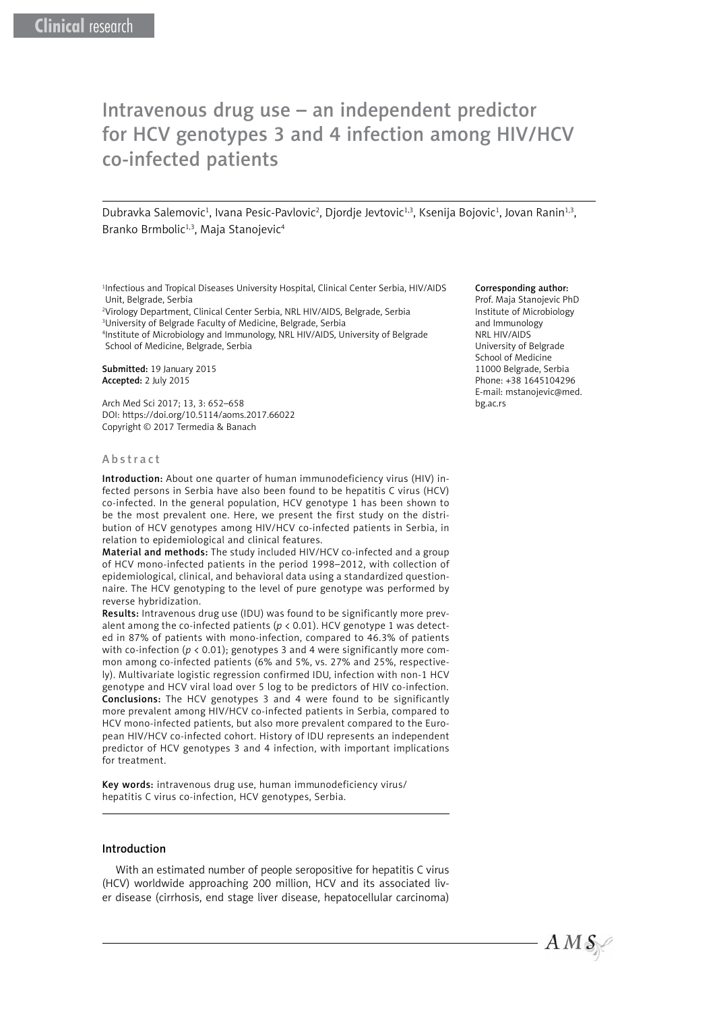# Intravenous drug use – an independent predictor for HCV genotypes 3 and 4 infection among HIV/HCV co-infected patients

Dubravka Salemovic<sup>1</sup>, Ivana Pesic-Pavlovic<sup>2</sup>, Djordje Jevtovic<sup>1,3</sup>, Ksenija Bojovic<sup>1</sup>, Jovan Ranin<sup>1,3</sup>, Branko Brmbolic<sup>1,3</sup>, Maja Stanojevic<sup>4</sup>

1 Infectious and Tropical Diseases University Hospital, Clinical Center Serbia, HIV/AIDS Unit, Belgrade, Serbia

 Virology Department, Clinical Center Serbia, NRL HIV/AIDS, Belgrade, Serbia University of Belgrade Faculty of Medicine, Belgrade, Serbia Institute of Microbiology and Immunology, NRL HIV/AIDS, University of Belgrade School of Medicine, Belgrade, Serbia

Submitted: 19 January 2015 Accepted: 2 July 2015

Arch Med Sci 2017; 13, 3: 652–658 DOI: https://doi.org/10.5114/aoms.2017.66022 Copyright © 2017 Termedia & Banach

#### Abstract

Introduction: About one quarter of human immunodeficiency virus (HIV) infected persons in Serbia have also been found to be hepatitis C virus (HCV) co-infected. In the general population, HCV genotype 1 has been shown to be the most prevalent one. Here, we present the first study on the distribution of HCV genotypes among HIV/HCV co-infected patients in Serbia, in relation to epidemiological and clinical features.

Material and methods: The study included HIV/HCV co-infected and a group of HCV mono-infected patients in the period 1998–2012, with collection of epidemiological, clinical, and behavioral data using a standardized questionnaire. The HCV genotyping to the level of pure genotype was performed by reverse hybridization.

Results: Intravenous drug use (IDU) was found to be significantly more prevalent among the co-infected patients ( $p < 0.01$ ). HCV genotype 1 was detected in 87% of patients with mono-infection, compared to 46.3% of patients with co-infection (*p* < 0.01); genotypes 3 and 4 were significantly more common among co-infected patients (6% and 5%, vs. 27% and 25%, respectively). Multivariate logistic regression confirmed IDU, infection with non-1 HCV genotype and HCV viral load over 5 log to be predictors of HIV co-infection. Conclusions: The HCV genotypes 3 and 4 were found to be significantly more prevalent among HIV/HCV co-infected patients in Serbia, compared to HCV mono-infected patients, but also more prevalent compared to the European HIV/HCV co-infected cohort. History of IDU represents an independent predictor of HCV genotypes 3 and 4 infection, with important implications for treatment.

Key words: intravenous drug use, human immunodeficiency virus/ hepatitis C virus co-infection, HCV genotypes, Serbia.

## Introduction

With an estimated number of people seropositive for hepatitis C virus (HCV) worldwide approaching 200 million, HCV and its associated liver disease (cirrhosis, end stage liver disease, hepatocellular carcinoma)

#### Corresponding author:

Prof. Maja Stanojevic PhD Institute of Microbiology and Immunology NRL HIV/AIDS University of Belgrade School of Medicine 11000 Belgrade, Serbia Phone: +38 1645104296 E-mail: mstanojevic@med. bg.ac.rs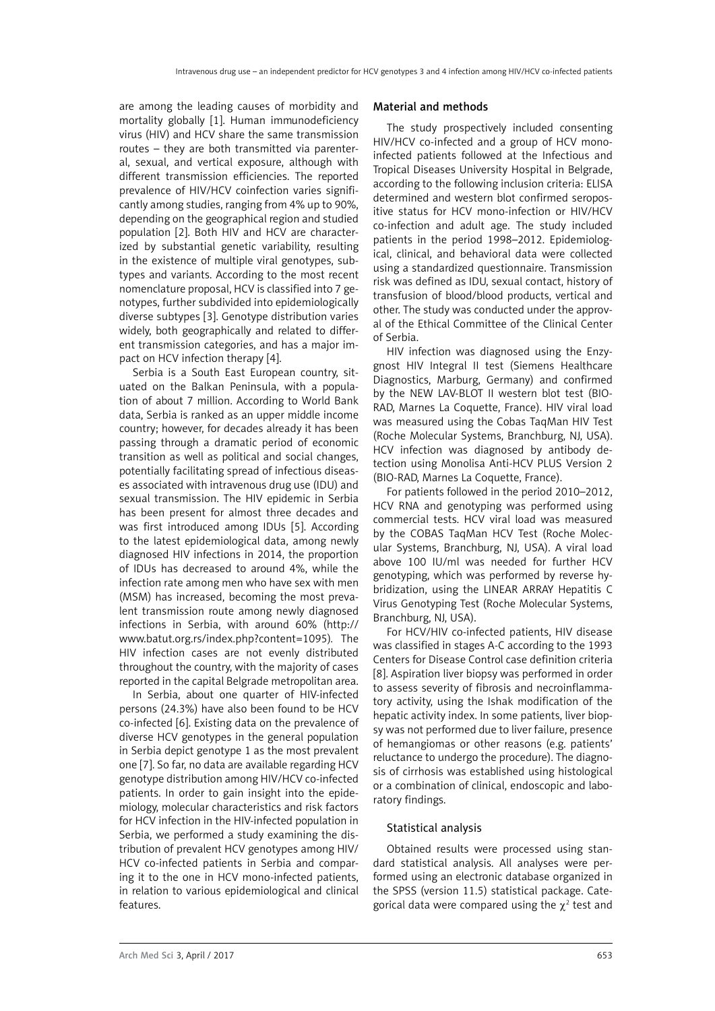are among the leading causes of morbidity and mortality globally [1]. Human immunodeficiency virus (HIV) and HCV share the same transmission routes – they are both transmitted via parenteral, sexual, and vertical exposure, although with different transmission efficiencies. The reported prevalence of HIV/HCV coinfection varies significantly among studies, ranging from 4% up to 90%, depending on the geographical region and studied population [2]. Both HIV and HCV are characterized by substantial genetic variability, resulting in the existence of multiple viral genotypes, subtypes and variants. According to the most recent nomenclature proposal, HCV is classified into 7 genotypes, further subdivided into epidemiologically diverse subtypes [3]. Genotype distribution varies widely, both geographically and related to different transmission categories, and has a major impact on HCV infection therapy [4].

Serbia is a South East European country, situated on the Balkan Peninsula, with a population of about 7 million. According to World Bank data, Serbia is ranked as an upper middle income country; however, for decades already it has been passing through a dramatic period of economic transition as well as political and social changes, potentially facilitating spread of infectious diseases associated with intravenous drug use (IDU) and sexual transmission. The HIV epidemic in Serbia has been present for almost three decades and was first introduced among IDUs [5]. According to the latest epidemiological data, among newly diagnosed HIV infections in 2014, the proportion of IDUs has decreased to around 4%, while the infection rate among men who have sex with men (MSM) has increased, becoming the most prevalent transmission route among newly diagnosed infections in Serbia, with around 60% (http:// www.batut.org.rs/index.php?content=1095)*.* The HIV infection cases are not evenly distributed throughout the country, with the majority of cases reported in the capital Belgrade metropolitan area.

In Serbia, about one quarter of HIV-infected persons (24.3%) have also been found to be HCV co-infected [6]. Existing data on the prevalence of diverse HCV genotypes in the general population in Serbia depict genotype 1 as the most prevalent one [7]. So far, no data are available regarding HCV genotype distribution among HIV/HCV co-infected patients. In order to gain insight into the epidemiology, molecular characteristics and risk factors for HCV infection in the HIV-infected population in Serbia, we performed a study examining the distribution of prevalent HCV genotypes among HIV/ HCV co-infected patients in Serbia and comparing it to the one in HCV mono-infected patients, in relation to various epidemiological and clinical features.

### Material and methods

The study prospectively included consenting HIV/HCV co-infected and a group of HCV monoinfected patients followed at the Infectious and Tropical Diseases University Hospital in Belgrade, according to the following inclusion criteria: ELISA determined and western blot confirmed seropositive status for HCV mono-infection or HIV/HCV co-infection and adult age. The study included patients in the period 1998–2012. Epidemiological, clinical, and behavioral data were collected using a standardized questionnaire. Transmission risk was defined as IDU, sexual contact, history of transfusion of blood/blood products, vertical and other. The study was conducted under the approval of the Ethical Committee of the Clinical Center of Serbia.

HIV infection was diagnosed using the Enzygnost HIV Integral II test (Siemens Healthcare Diagnostics, Marburg, Germany) and confirmed by the NEW LAV-BLOT II western blot test (BIO-RAD, Marnes La Coquette, France). HIV viral load was measured using the Cobas TaqMan HIV Test (Roche Molecular Systems, Branchburg, NJ, USA). HCV infection was diagnosed by antibody detection using Monolisa Anti-HCV PLUS Version 2 (BIO-RAD, Marnes La Coquette, France).

For patients followed in the period 2010–2012, HCV RNA and genotyping was performed using commercial tests. HCV viral load was measured by the COBAS TaqMan HCV Test (Roche Molecular Systems, Branchburg, NJ, USA). A viral load above 100 IU/ml was needed for further HCV genotyping, which was performed by reverse hybridization, using the LINEAR ARRAY Hepatitis C Virus Genotyping Test (Roche Molecular Systems, Branchburg, NJ, USA).

For HCV/HIV co-infected patients, HIV disease was classified in stages A-C according to the 1993 Centers for Disease Control case definition criteria [8]. Aspiration liver biopsy was performed in order to assess severity of fibrosis and necroinflammatory activity, using the Ishak modification of the hepatic activity index. In some patients, liver biopsy was not performed due to liver failure, presence of hemangiomas or other reasons (e.g. patients' reluctance to undergo the procedure). The diagnosis of cirrhosis was established using histological or a combination of clinical, endoscopic and laboratory findings.

## Statistical analysis

Obtained results were processed using standard statistical analysis. All analyses were performed using an electronic database organized in the SPSS (version 11.5) statistical package. Categorical data were compared using the  $\chi^2$  test and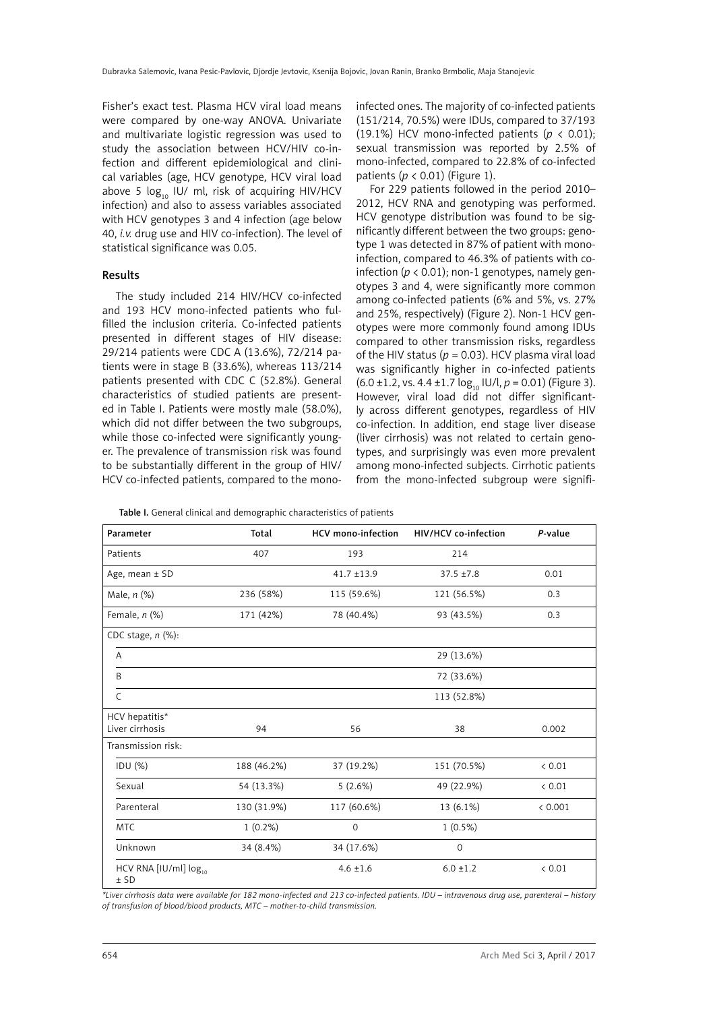Fisher's exact test. Plasma HCV viral load means were compared by one-way ANOVA. Univariate and multivariate logistic regression was used to study the association between HCV/HIV co-infection and different epidemiological and clinical variables (age, HCV genotype, HCV viral load above 5  $log_{10}$  IU/ ml, risk of acquiring HIV/HCV infection) and also to assess variables associated with HCV genotypes 3 and 4 infection (age below 40, *i.v.* drug use and HIV co-infection). The level of statistical significance was 0.05.

#### Results

The study included 214 HIV/HCV co-infected and 193 HCV mono-infected patients who fulfilled the inclusion criteria. Co-infected patients presented in different stages of HIV disease: 29/214 patients were CDC A (13.6%), 72/214 patients were in stage B (33.6%), whereas 113/214 patients presented with CDC C (52.8%). General characteristics of studied patients are presented in Table I. Patients were mostly male (58.0%), which did not differ between the two subgroups, while those co-infected were significantly younger. The prevalence of transmission risk was found to be substantially different in the group of HIV/ HCV co-infected patients, compared to the monoinfected ones. The majority of co-infected patients (151/214, 70.5%) were IDUs, compared to 37/193 (19.1%) HCV mono-infected patients ( $p < 0.01$ ); sexual transmission was reported by 2.5% of mono-infected, compared to 22.8% of co-infected patients (*p* < 0.01) (Figure 1).

For 229 patients followed in the period 2010– 2012, HCV RNA and genotyping was performed. HCV genotype distribution was found to be significantly different between the two groups: genotype 1 was detected in 87% of patient with monoinfection, compared to 46.3% of patients with coinfection ( $p < 0.01$ ); non-1 genotypes, namely genotypes 3 and 4, were significantly more common among co-infected patients (6% and 5%, vs. 27% and 25%, respectively) (Figure 2). Non-1 HCV genotypes were more commonly found among IDUs compared to other transmission risks, regardless of the HIV status ( $p = 0.03$ ). HCV plasma viral load was significantly higher in co-infected patients  $(6.0 \pm 1.2, \text{vs. } 4.4 \pm 1.7 \log_{10} \text{IU/l}, p = 0.01)$  (Figure 3). However, viral load did not differ significantly across different genotypes, regardless of HIV co-infection. In addition, end stage liver disease (liver cirrhosis) was not related to certain genotypes, and surprisingly was even more prevalent among mono-infected subjects. Cirrhotic patients from the mono-infected subgroup were signifi-

|  | Table I. General clinical and demographic characteristics of patients |  |  |  |  |  |
|--|-----------------------------------------------------------------------|--|--|--|--|--|
|--|-----------------------------------------------------------------------|--|--|--|--|--|

| Parameter                                   | Total       | <b>HCV</b> mono-infection | HIV/HCV co-infection | P-value |
|---------------------------------------------|-------------|---------------------------|----------------------|---------|
| Patients                                    | 407         | 193                       | 214                  |         |
| Age, mean $\pm$ SD                          |             | $41.7 \pm 13.9$           | $37.5 \pm 7.8$       | 0.01    |
| Male, n (%)                                 | 236 (58%)   | 115 (59.6%)               | 121 (56.5%)          | 0.3     |
| Female, $n$ $(\%)$                          | 171 (42%)   | 78 (40.4%)                | 93 (43.5%)           | 0.3     |
| CDC stage, $n$ (%):                         |             |                           |                      |         |
| A                                           |             |                           | 29 (13.6%)           |         |
| B                                           |             |                           | 72 (33.6%)           |         |
| $\mathsf{C}$                                |             |                           | 113 (52.8%)          |         |
| HCV hepatitis*                              |             |                           |                      |         |
| Liver cirrhosis                             | 94          | 56                        | 38                   | 0.002   |
| Transmission risk:                          |             |                           |                      |         |
| IDU (%)                                     | 188 (46.2%) | 37 (19.2%)                | 151 (70.5%)          | < 0.01  |
| Sexual                                      | 54 (13.3%)  | 5(2.6%)                   | 49 (22.9%)           | < 0.01  |
| Parenteral                                  | 130 (31.9%) | 117 (60.6%)               | 13 (6.1%)            | < 0.001 |
| <b>MTC</b>                                  | $1(0.2\%)$  | $\mathbf 0$               | $1(0.5\%)$           |         |
| Unknown                                     | 34 (8.4%)   | 34 (17.6%)                | $\mathbf 0$          |         |
| HCV RNA [IU/ml] log <sub>10</sub><br>$±$ SD |             | $4.6 \pm 1.6$             | $6.0 \pm 1.2$        | 0.01    |

*\*Liver cirrhosis data were available for 182 mono-infected and 213 co-infected patients. IDU – intravenous drug use, parenteral – history of transfusion of blood/blood products, MTC – mother-to-child transmission.*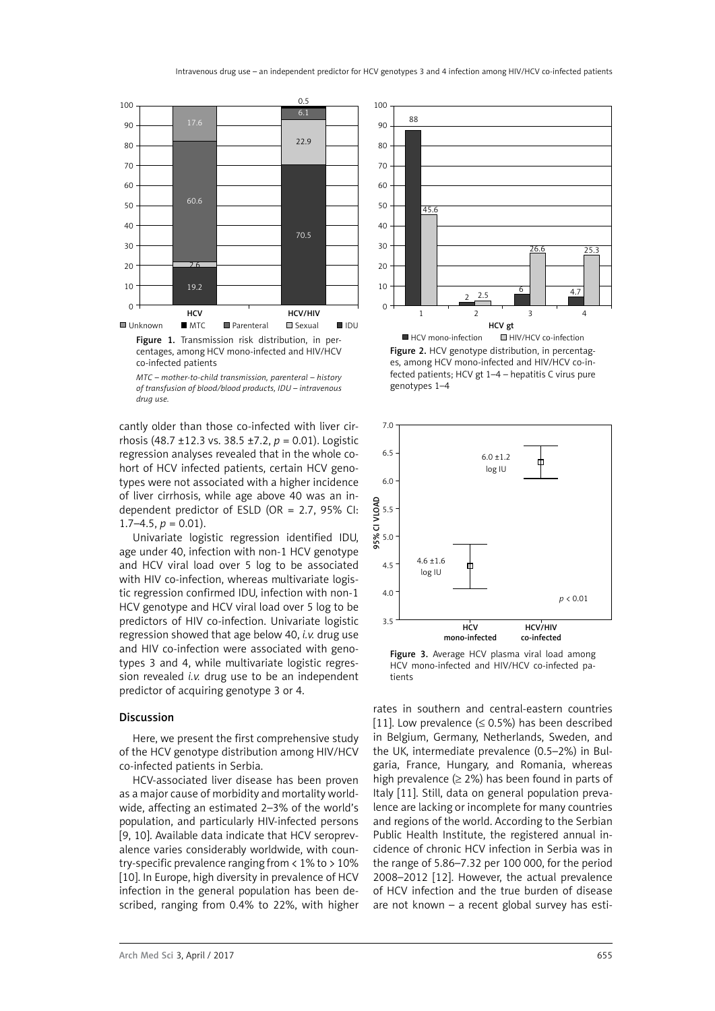

centages, among HCV mono-infected and HIV/HCV co-infected patients

cantly older than those co-infected with liver cirrhosis (48.7 ±12.3 vs. 38.5 ±7.2, *p* = 0.01). Logistic regression analyses revealed that in the whole cohort of HCV infected patients, certain HCV genotypes were not associated with a higher incidence of liver cirrhosis, while age above 40 was an independent predictor of ESLD (OR = 2.7, 95% CI:  $1.7-4.5, p = 0.01$ ).

Univariate logistic regression identified IDU, age under 40, infection with non-1 HCV genotype and HCV viral load over 5 log to be associated with HIV co-infection, whereas multivariate logistic regression confirmed IDU, infection with non-1 HCV genotype and HCV viral load over 5 log to be predictors of HIV co-infection. Univariate logistic regression showed that age below 40, *i.v.* drug use and HIV co-infection were associated with genotypes 3 and 4, while multivariate logistic regression revealed *i.v.* drug use to be an independent predictor of acquiring genotype 3 or 4.

#### Discussion

Here, we present the first comprehensive study of the HCV genotype distribution among HIV/HCV co-infected patients in Serbia.

HCV-associated liver disease has been proven as a major cause of morbidity and mortality worldwide, affecting an estimated 2–3% of the world's population, and particularly HIV-infected persons [9, 10]. Available data indicate that HCV seroprevalence varies considerably worldwide, with country-specific prevalence ranging from < 1% to > 10% [10]. In Europe, high diversity in prevalence of HCV infection in the general population has been described, ranging from 0.4% to 22%, with higher



Figure 2. HCV genotype distribution, in percentages, among HCV mono-infected and HIV/HCV co-infected patients; HCV gt 1–4 – hepatitis C virus pure genotypes 1–4



Figure 3. Average HCV plasma viral load among HCV mono-infected and HIV/HCV co-infected patients

rates in southern and central-eastern countries [11]. Low prevalence  $(\leq 0.5\%)$  has been described in Belgium, Germany, Netherlands, Sweden, and the UK, intermediate prevalence (0.5–2%) in Bulgaria, France, Hungary, and Romania, whereas high prevalence ( $\geq$  2%) has been found in parts of Italy [11]. Still, data on general population prevalence are lacking or incomplete for many countries and regions of the world. According to the Serbian Public Health Institute, the registered annual incidence of chronic HCV infection in Serbia was in the range of 5.86–7.32 per 100 000, for the period 2008–2012 [12]. However, the actual prevalence of HCV infection and the true burden of disease are not known – a recent global survey has esti-

*MTC – mother-to-child transmission, parenteral – history of transfusion of blood/blood products, IDU – intravenous drug use.*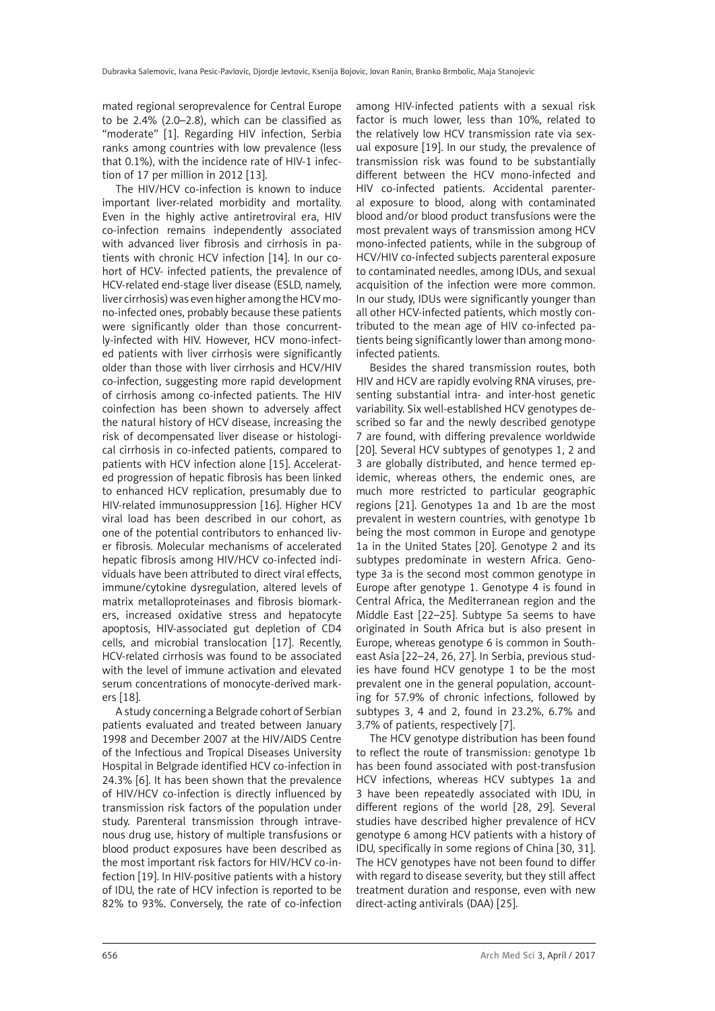mated regional seroprevalence for Central Europe to be 2.4% (2.0–2.8), which can be classified as "moderate" [1]. Regarding HIV infection, Serbia ranks among countries with low prevalence (less that 0.1%), with the incidence rate of HIV-1 infection of 17 per million in 2012 [13].

The HIV/HCV co-infection is known to induce important liver-related morbidity and mortality. Even in the highly active antiretroviral era, HIV co-infection remains independently associated with advanced liver fibrosis and cirrhosis in patients with chronic HCV infection [14]. In our cohort of HCV- infected patients, the prevalence of HCV-related end-stage liver disease (ESLD, namely, liver cirrhosis) was even higher among the HCV mono-infected ones, probably because these patients were significantly older than those concurrently-infected with HIV. However, HCV mono-infected patients with liver cirrhosis were significantly older than those with liver cirrhosis and HCV/HIV co-infection, suggesting more rapid development of cirrhosis among co-infected patients. The HIV coinfection has been shown to adversely affect the natural history of HCV disease, increasing the risk of decompensated liver disease or histological cirrhosis in co-infected patients, compared to patients with HCV infection alone [15]. Accelerated progression of hepatic fibrosis has been linked to enhanced HCV replication, presumably due to HIV-related immunosuppression [16]. Higher HCV viral load has been described in our cohort, as one of the potential contributors to enhanced liver fibrosis. Molecular mechanisms of accelerated hepatic fibrosis among HIV/HCV co-infected individuals have been attributed to direct viral effects, immune/cytokine dysregulation, altered levels of matrix metalloproteinases and fibrosis biomarkers, increased oxidative stress and hepatocyte apoptosis, HIV-associated gut depletion of CD4 cells, and microbial translocation [17]. Recently, HCV-related cirrhosis was found to be associated with the level of immune activation and elevated serum concentrations of monocyte-derived markers [18].

A study concerning a Belgrade cohort of Serbian patients evaluated and treated between January 1998 and December 2007 at the HIV/AIDS Centre of the Infectious and Tropical Diseases University Hospital in Belgrade identified HCV co-infection in 24.3% [6]. It has been shown that the prevalence of HIV/HCV co-infection is directly influenced by transmission risk factors of the population under study. Parenteral transmission through intravenous drug use, history of multiple transfusions or blood product exposures have been described as the most important risk factors for HIV/HCV co-infection [19]. In HIV-positive patients with a history of IDU, the rate of HCV infection is reported to be 82% to 93%. Conversely, the rate of co-infection among HIV-infected patients with a sexual risk factor is much lower, less than 10%, related to the relatively low HCV transmission rate via sexual exposure [19]. In our study, the prevalence of transmission risk was found to be substantially different between the HCV mono-infected and HIV co-infected patients. Accidental parenteral exposure to blood, along with contaminated blood and/or blood product transfusions were the most prevalent ways of transmission among HCV mono-infected patients, while in the subgroup of HCV/HIV co-infected subjects parenteral exposure to contaminated needles, among IDUs, and sexual acquisition of the infection were more common. In our study, IDUs were significantly younger than all other HCV-infected patients, which mostly contributed to the mean age of HIV co-infected patients being significantly lower than among monoinfected patients.

Besides the shared transmission routes, both HIV and HCV are rapidly evolving RNA viruses, presenting substantial intra- and inter-host genetic variability. Six well-established HCV genotypes described so far and the newly described genotype 7 are found, with differing prevalence worldwide [20]. Several HCV subtypes of genotypes 1, 2 and 3 are globally distributed, and hence termed epidemic, whereas others, the endemic ones, are much more restricted to particular geographic regions [21]. Genotypes 1a and 1b are the most prevalent in western countries, with genotype 1b being the most common in Europe and genotype 1a in the United States [20]. Genotype 2 and its subtypes predominate in western Africa. Genotype 3a is the second most common genotype in Europe after genotype 1. Genotype 4 is found in Central Africa, the Mediterranean region and the Middle East [22–25]. Subtype 5a seems to have originated in South Africa but is also present in Europe, whereas genotype 6 is common in Southeast Asia [22–24, 26, 27]. In Serbia, previous studies have found HCV genotype 1 to be the most prevalent one in the general population, accounting for 57.9% of chronic infections, followed by subtypes 3, 4 and 2, found in 23.2%, 6.7% and 3.7% of patients, respectively [7].

The HCV genotype distribution has been found to reflect the route of transmission: genotype 1b has been found associated with post-transfusion HCV infections, whereas HCV subtypes 1a and 3 have been repeatedly associated with IDU, in different regions of the world [28, 29]. Several studies have described higher prevalence of HCV genotype 6 among HCV patients with a history of IDU, specifically in some regions of China [30, 31]. The HCV genotypes have not been found to differ with regard to disease severity, but they still affect treatment duration and response, even with new direct-acting antivirals (DAA) [25].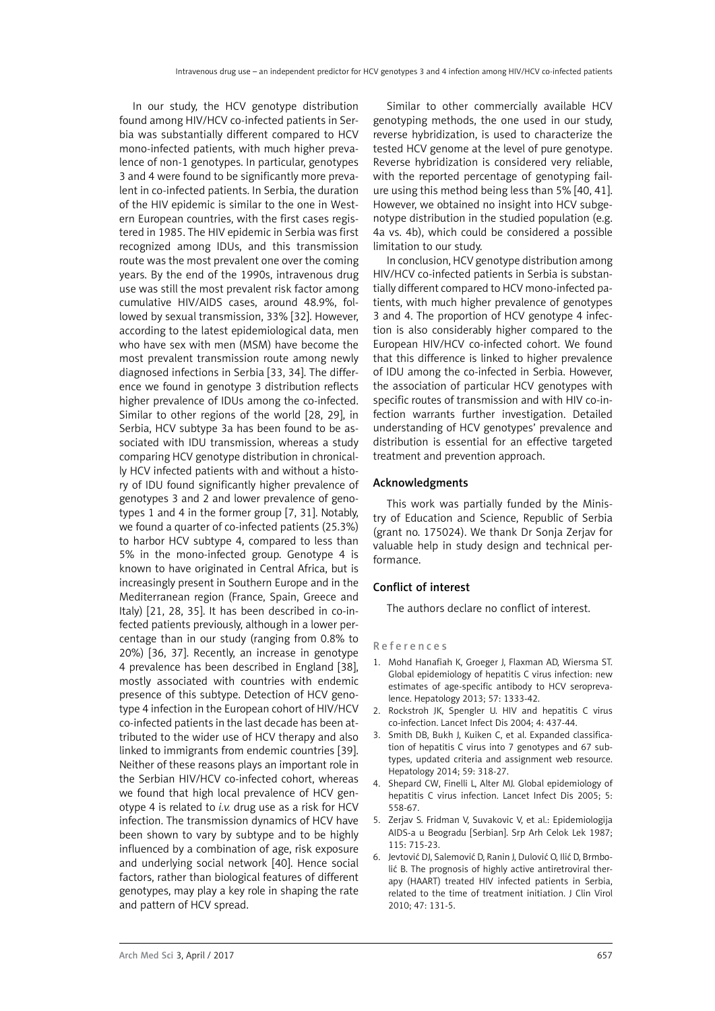In our study, the HCV genotype distribution found among HIV/HCV co-infected patients in Serbia was substantially different compared to HCV mono-infected patients, with much higher prevalence of non-1 genotypes. In particular, genotypes 3 and 4 were found to be significantly more prevalent in co-infected patients. In Serbia, the duration of the HIV epidemic is similar to the one in Western European countries, with the first cases registered in 1985. The HIV epidemic in Serbia was first recognized among IDUs, and this transmission route was the most prevalent one over the coming years. By the end of the 1990s, intravenous drug use was still the most prevalent risk factor among cumulative HIV/AIDS cases, around 48.9%, followed by sexual transmission, 33% [32]. However, according to the latest epidemiological data, men who have sex with men (MSM) have become the most prevalent transmission route among newly diagnosed infections in Serbia [33, 34]. The difference we found in genotype 3 distribution reflects higher prevalence of IDUs among the co-infected. Similar to other regions of the world [28, 29], in Serbia, HCV subtype 3a has been found to be associated with IDU transmission, whereas a study comparing HCV genotype distribution in chronically HCV infected patients with and without a history of IDU found significantly higher prevalence of genotypes 3 and 2 and lower prevalence of genotypes 1 and 4 in the former group [7, 31]. Notably, we found a quarter of co-infected patients (25.3%) to harbor HCV subtype 4, compared to less than 5% in the mono-infected group. Genotype 4 is known to have originated in Central Africa, but is increasingly present in Southern Europe and in the Mediterranean region (France, Spain, Greece and Italy) [21, 28, 35]. It has been described in co-infected patients previously, although in a lower percentage than in our study (ranging from 0.8% to 20%) [36, 37]. Recently, an increase in genotype 4 prevalence has been described in England [38], mostly associated with countries with endemic presence of this subtype. Detection of HCV genotype 4 infection in the European cohort of HIV/HCV co-infected patients in the last decade has been attributed to the wider use of HCV therapy and also linked to immigrants from endemic countries [39]. Neither of these reasons plays an important role in the Serbian HIV/HCV co-infected cohort, whereas we found that high local prevalence of HCV genotype 4 is related to *i.v.* drug use as a risk for HCV infection. The transmission dynamics of HCV have been shown to vary by subtype and to be highly influenced by a combination of age, risk exposure and underlying social network [40]. Hence social factors, rather than biological features of different genotypes, may play a key role in shaping the rate and pattern of HCV spread.

Similar to other commercially available HCV genotyping methods, the one used in our study, reverse hybridization, is used to characterize the tested HCV genome at the level of pure genotype. Reverse hybridization is considered very reliable, with the reported percentage of genotyping failure using this method being less than 5% [40, 41]. However, we obtained no insight into HCV subgenotype distribution in the studied population (e.g. 4a vs. 4b), which could be considered a possible limitation to our study.

In conclusion, HCV genotype distribution among HIV/HCV co-infected patients in Serbia is substantially different compared to HCV mono-infected patients, with much higher prevalence of genotypes 3 and 4. The proportion of HCV genotype 4 infection is also considerably higher compared to the European HIV/HCV co-infected cohort. We found that this difference is linked to higher prevalence of IDU among the co-infected in Serbia. However, the association of particular HCV genotypes with specific routes of transmission and with HIV co-infection warrants further investigation. Detailed understanding of HCV genotypes' prevalence and distribution is essential for an effective targeted treatment and prevention approach.

## Acknowledgments

This work was partially funded by the Ministry of Education and Science, Republic of Serbia (grant no. 175024). We thank Dr Sonja Zerjav for valuable help in study design and technical performance.

## Conflict of interest

The authors declare no conflict of interest.

#### References

- 1. Mohd Hanafiah K, Groeger J, Flaxman AD, Wiersma ST. Global epidemiology of hepatitis C virus infection: new estimates of age-specific antibody to HCV seroprevalence. Hepatology 2013; 57: 1333-42.
- 2. Rockstroh JK, Spengler U. HIV and hepatitis C virus co-infection. Lancet Infect Dis 2004; 4: 437-44.
- 3. [Smith DB,](http://www.ncbi.nlm.nih.gov/pubmed?term=Smith DB%5BAuthor%5D&cauthor=true&cauthor_uid=24115039) [Bukh J](http://www.ncbi.nlm.nih.gov/pubmed?term=Bukh J%5BAuthor%5D&cauthor=true&cauthor_uid=24115039), [Kuiken C,](http://www.ncbi.nlm.nih.gov/pubmed?term=Kuiken C%5BAuthor%5D&cauthor=true&cauthor_uid=24115039) et al. Expanded classification of hepatitis C virus into 7 genotypes and 67 subtypes, updated criteria and assignment web resource. Hepatology 2014; 59: 318-27.
- 4. Shepard CW, Finelli L, Alter MJ. Global epidemiology of hepatitis C virus infection. Lancet Infect Dis 2005; 5: 558-67.
- 5. Zerjav S. Fridman V, Suvakovic V, et al.: Epidemiologija AIDS-a u Beogradu [Serbian]. Srp Arh Celok Lek 1987; 115: 715-23.
- 6. Jevtović DJ, [Salemović D](http://www.ncbi.nlm.nih.gov/pubmed?term=Salemovi%C4%87 D%5BAuthor%5D&cauthor=true&cauthor_uid=20006540), [Ranin J](http://www.ncbi.nlm.nih.gov/pubmed?term=Ranin J%5BAuthor%5D&cauthor=true&cauthor_uid=20006540), [Dulović O](http://www.ncbi.nlm.nih.gov/pubmed?term=Dulovi%C4%87 O%5BAuthor%5D&cauthor=true&cauthor_uid=20006540), [Ilić D,](http://www.ncbi.nlm.nih.gov/pubmed?term=Ili%C4%87 D%5BAuthor%5D&cauthor=true&cauthor_uid=20006540) [Brmbo](http://www.ncbi.nlm.nih.gov/pubmed?term=Brmboli%C4%87 B%5BAuthor%5D&cauthor=true&cauthor_uid=20006540)[lić B.](http://www.ncbi.nlm.nih.gov/pubmed?term=Brmboli%C4%87 B%5BAuthor%5D&cauthor=true&cauthor_uid=20006540) The prognosis of highly active antiretroviral therapy (HAART) treated HIV infected patients in Serbia, related to the time of treatment initiation. J Clin Virol 2010; 47: 131-5.